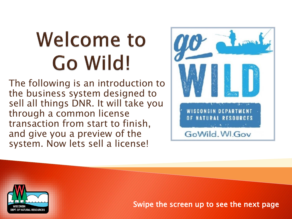# **Welcome to** Go Wild!

The following is an introduction to the business system designed to sell all things DNR. It will take you through a common license transaction from start to finish, and give you a preview of the system. Now lets sell a license!



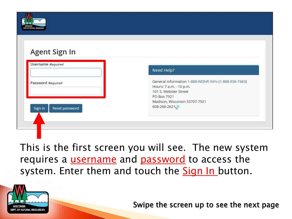

| Agent Sign In |  |
|---------------|--|
|               |  |

| Password Required         | General Information 1-888-WDNR INFo (1-888-936-7463) |
|---------------------------|------------------------------------------------------|
|                           | Hours: 7 a.m. - 10 p.m.                              |
|                           | 101 S. Webster Street                                |
|                           | PO Box 7921                                          |
|                           | Madison, Wisconsin 53707-7921                        |
| Reset password<br>Sign in | 608-266-2621                                         |
|                           |                                                      |

This is the first screen you will see. The new system requires a *username* and *password* to access the system. Enter them and touch the **Sign In** button.



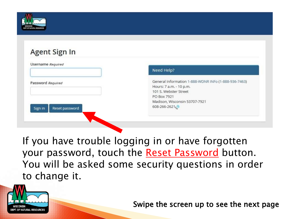

## Agent Sign In

|                                                | Need Help?                                                                                                                                                               |
|------------------------------------------------|--------------------------------------------------------------------------------------------------------------------------------------------------------------------------|
| Password Required<br>Reset password<br>Sign in | General Information 1-888-WDNR INFo (1-888-936-7463)<br>Hours: 7 a.m. - 10 p.m.<br>101 S. Webster Street<br>PO Box 7921<br>Madison, Wisconsin 53707-7921<br>608-266-2621 |

If you have trouble logging in or have forgotten your password, touch the Reset Password button. You will be asked some security questions in order to change it.

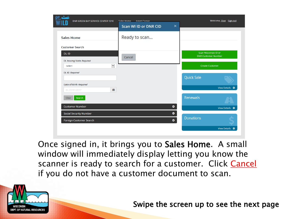| $90 - 1$<br><b>DNR GREEN BAY SERVICE CENTER 1310</b>       | <b>Agent Corner</b><br>Sales Home |                                                    | Welcome, User Sign out    |
|------------------------------------------------------------|-----------------------------------|----------------------------------------------------|---------------------------|
|                                                            | Scan WI ID or DNR CID<br>×        |                                                    |                           |
| <b>Sales Home</b>                                          | Ready to scan                     |                                                    |                           |
| <b>Customer Search</b>                                     |                                   |                                                    |                           |
| DL ID                                                      | Cancel                            | Scan Wisconsin ID or<br><b>DNR Customer Number</b> |                           |
| <b>DL Issuing State Required</b><br>$\checkmark$<br>Select |                                   | <b>Create Customer</b>                             |                           |
| <b>DL ID Required</b>                                      |                                   | <b>Quick Sale</b>                                  |                           |
| Date of Birth Required                                     |                                   |                                                    |                           |
| 篇<br>ex. 01/01/2017                                        |                                   |                                                    | View Details <sup>O</sup> |
| Search<br><b>Clear</b>                                     |                                   | Renewals                                           |                           |
| <b>Customer Number</b>                                     | $\bullet$                         |                                                    | View Details ©            |
| Social Security Number                                     | $\bullet$                         |                                                    |                           |
| Foreign Customer Search                                    | $\bullet$                         | <b>Donations</b>                                   |                           |
|                                                            |                                   |                                                    | View Details ©            |

Once signed in, it brings you to Sales Home. A small window will immediately display letting you know the scanner is ready to search for a customer. Click Cancel if you do not have a customer document to scan.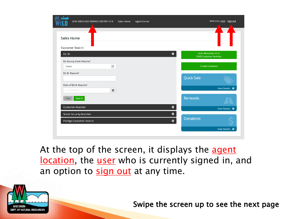| $q_0$ del<br><b>DNR GREEN BAY SERVICE CENTER 1310</b> | Sales Home   | <b>Agent Corner</b> |                                                         | Welcome, User Sign out |
|-------------------------------------------------------|--------------|---------------------|---------------------------------------------------------|------------------------|
| <b>Sales Home</b>                                     |              |                     |                                                         |                        |
| <b>Customer Search</b>                                |              |                     |                                                         |                        |
| <b>DLID</b>                                           |              |                     | Scan Wisconsin ID or<br>۰<br><b>DNR Customer Number</b> |                        |
| <b>DL Issuing State Required</b>                      |              |                     |                                                         |                        |
| Select                                                | $\checkmark$ |                     | <b>Create Customer</b>                                  |                        |
| <b>DL ID Required</b>                                 |              |                     |                                                         |                        |
|                                                       |              |                     | <b>Quick Sale</b>                                       |                        |
| Date of Birth Required                                |              |                     |                                                         |                        |
| ex. 01/01/2017                                        | 雦            |                     |                                                         | View Details ©         |
| Search<br>Clear                                       |              |                     | Renewals                                                |                        |
| <b>Customer Number</b>                                |              |                     | $\bullet$                                               | View Details ©         |
| Social Security Number                                |              |                     | $\bullet$                                               |                        |
| Foreign Customer Search                               |              |                     | <b>Donations</b><br>$\bullet$                           |                        |
|                                                       |              |                     |                                                         |                        |

At the top of the screen, it displays the agent location, the user who is currently signed in, and an option to sign out at any time.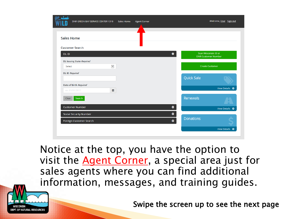| $q_0$ direct<br>DNR GREEN BAY SERVICE CENTER 1310 | Sales Home   | <b>Agent Corner</b> |                                                                 | Welcome, User Sign out    |
|---------------------------------------------------|--------------|---------------------|-----------------------------------------------------------------|---------------------------|
| <b>Sales Home</b>                                 |              |                     |                                                                 |                           |
| <b>Customer Search</b>                            |              |                     |                                                                 |                           |
| <b>DLID</b>                                       |              |                     | Scan Wisconsin ID or<br>$\bullet$<br><b>DNR Customer Number</b> |                           |
| <b>DL Issuing State Required</b>                  |              |                     |                                                                 |                           |
| Select                                            | $\checkmark$ |                     | <b>Create Customer</b>                                          |                           |
| <b>DL ID Required</b>                             |              |                     | <b>Quick Sale</b>                                               |                           |
| Date of Birth Required                            |              |                     |                                                                 |                           |
| ex. 01/01/2017                                    | 巤            |                     |                                                                 | View Details ©            |
| Search<br>Clear                                   |              |                     | Renewals                                                        |                           |
| <b>Customer Number</b>                            |              |                     | $\bullet$                                                       | View Details <sup>O</sup> |
| Social Security Number                            |              |                     | $\bullet$                                                       |                           |
| Foreign Customer Search                           |              |                     | <b>Donations</b><br>$\bullet$                                   |                           |
|                                                   |              |                     |                                                                 | View Details ©            |

Notice at the top, you have the option to visit the **Agent Corner**, a special area just for sales agents where you can find additional information, messages, and training guides.

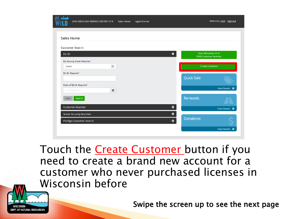| $q_0$ dat              | <b>DNR GREEN BAY SERVICE CENTER 1310</b> | Sales Home   | <b>Agent Corner</b> |                               | Welcome, User Sign out                             |
|------------------------|------------------------------------------|--------------|---------------------|-------------------------------|----------------------------------------------------|
| <b>Sales Home</b>      |                                          |              |                     |                               |                                                    |
|                        |                                          |              |                     |                               |                                                    |
| <b>Customer Search</b> |                                          |              |                     |                               |                                                    |
| DL ID                  |                                          |              |                     | $\bullet$                     | Scan Wisconsin ID or<br><b>DNR Customer Number</b> |
|                        | <b>DL Issuing State Required</b>         |              |                     |                               |                                                    |
| Select                 |                                          | $\checkmark$ |                     |                               | <b>Create Customer</b>                             |
| <b>DL ID Required</b>  |                                          |              |                     |                               |                                                    |
|                        |                                          |              |                     | <b>Quick Sale</b>             |                                                    |
|                        | Date of Birth Required                   |              |                     |                               | View Details ©                                     |
| ex. 01/01/2017         |                                          | 巤            |                     |                               |                                                    |
| Clear                  | Search                                   |              |                     | Renewals                      |                                                    |
|                        | <b>Customer Number</b>                   |              |                     | $\bullet$                     |                                                    |
|                        |                                          |              |                     |                               | View Details ©                                     |
|                        | <b>Social Security Number</b>            |              |                     | $\bullet$<br><b>Donations</b> |                                                    |
|                        | Foreign Customer Search                  |              |                     | $\bullet$                     |                                                    |
|                        |                                          |              |                     |                               | View Details ©                                     |

Touch the **Create Customer** button if you need to create a brand new account for a customer who never purchased licenses in Wisconsin before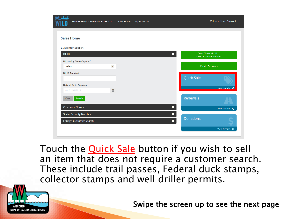| $q_0$ del | <b>DNR GREEN BAY SERVICE CENTER 1310</b> | Sales Home | <b>Agent Corner</b> |                               | Welcome, User Sign out                             |
|-----------|------------------------------------------|------------|---------------------|-------------------------------|----------------------------------------------------|
|           | <b>Sales Home</b>                        |            |                     |                               |                                                    |
|           | <b>Customer Search</b>                   |            |                     |                               |                                                    |
| DL ID     |                                          |            |                     | ۰                             | Scan Wisconsin ID or<br><b>DNR Customer Number</b> |
|           | <b>DL Issuing State Required</b>         |            |                     |                               |                                                    |
| Select    | $\checkmark$                             |            |                     |                               | <b>Create Customer</b>                             |
|           | <b>DL ID Required</b>                    |            |                     | <b>Quick Sale</b>             |                                                    |
|           | Date of Birth Required                   |            |                     |                               |                                                    |
|           | ₩<br>ex. 01/01/2017                      |            |                     |                               | View Details <b>O</b>                              |
| Clear     | Search                                   |            |                     | Renewals                      |                                                    |
|           | <b>Customer Number</b>                   |            |                     | $\bullet$                     | View Details ©                                     |
|           | Social Security Number                   |            |                     | $\bullet$                     |                                                    |
|           | Foreign Customer Search                  |            |                     | <b>Donations</b><br>$\bullet$ |                                                    |
|           |                                          |            |                     |                               | View Details ©                                     |

Touch the **Quick Sale** button if you wish to sell an item that does not require a customer search. These include trail passes, Federal duck stamps, collector stamps and well driller permits.

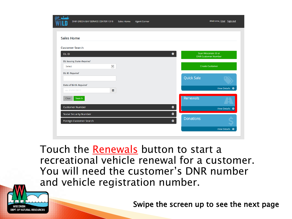| $q_0$ del             | <b>DNR GREEN BAY SERVICE CENTER 1310</b> | Sales Home | <b>Agent Corner</b> |                               | Welcome, User Sign out                             |  |
|-----------------------|------------------------------------------|------------|---------------------|-------------------------------|----------------------------------------------------|--|
| <b>Sales Home</b>     |                                          |            |                     |                               |                                                    |  |
|                       | <b>Customer Search</b>                   |            |                     |                               |                                                    |  |
| DL ID                 |                                          |            |                     | $\bullet$                     | Scan Wisconsin ID or<br><b>DNR Customer Number</b> |  |
|                       | <b>DL Issuing State Required</b>         |            |                     |                               |                                                    |  |
| Select                | $\checkmark$                             |            |                     |                               | <b>Create Customer</b>                             |  |
| <b>DL ID Required</b> |                                          |            |                     |                               |                                                    |  |
|                       |                                          |            |                     | <b>Quick Sale</b>             |                                                    |  |
|                       | Date of Birth Required                   |            |                     |                               |                                                    |  |
|                       | 雦<br>ex. 01/01/2017                      |            |                     |                               | View Details ©                                     |  |
| Clear                 | Search                                   |            |                     | Renewals                      |                                                    |  |
|                       | <b>Customer Number</b>                   |            |                     | $\bullet$                     | View Details ©                                     |  |
|                       | <b>Social Security Number</b>            |            |                     | $\bullet$                     |                                                    |  |
|                       | Foreign Customer Search                  |            |                     | <b>Donations</b><br>$\bullet$ |                                                    |  |
|                       |                                          |            |                     |                               | View Details ©                                     |  |

Touch the Renewals button to start a recreational vehicle renewal for a customer. You will need the customer's DNR number and vehicle registration number.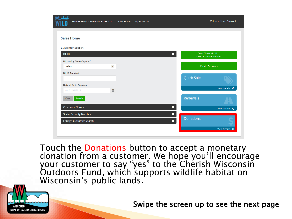| $q_0$ dat         | <b>DNR GREEN BAY SERVICE CENTER 1310</b> | Sales Home | <b>Agent Corner</b> |                  |                                                    | Welcome, User Sign out |
|-------------------|------------------------------------------|------------|---------------------|------------------|----------------------------------------------------|------------------------|
| <b>Sales Home</b> |                                          |            |                     |                  |                                                    |                        |
|                   | <b>Customer Search</b>                   |            |                     |                  |                                                    |                        |
| DL ID             |                                          |            |                     | $\bullet$        | Scan Wisconsin ID or<br><b>DNR Customer Number</b> |                        |
|                   | <b>DL Issuing State Required</b>         |            |                     |                  |                                                    |                        |
| Select            | $\checkmark$                             |            |                     |                  | <b>Create Customer</b>                             |                        |
|                   | <b>DL ID Required</b>                    |            |                     |                  |                                                    |                        |
|                   |                                          |            |                     |                  | <b>Quick Sale</b>                                  |                        |
|                   | Date of Birth Required                   |            |                     |                  |                                                    |                        |
|                   | 巤<br>ex. 01/01/2017                      |            |                     |                  |                                                    | View Details ©         |
| Clear             | Search                                   |            |                     |                  | Renewals                                           |                        |
|                   | <b>Customer Number</b>                   |            |                     | $\bullet$        |                                                    | View Details ©         |
|                   | <b>Social Security Number</b>            |            |                     | $\bullet$        |                                                    |                        |
|                   | Foreign Customer Search                  |            |                     | $\ddot{\bullet}$ | <b>Donations</b>                                   |                        |
|                   |                                          |            |                     |                  |                                                    | View Details ©         |

Touch the <u>Donations</u> button to accept a monetary donation from a customer. We hope you'll encourage your customer to say "yes" to the Cherish Wisconsin Outdoors Fund, which supports wildlife habitat on Wisconsin's public lands.

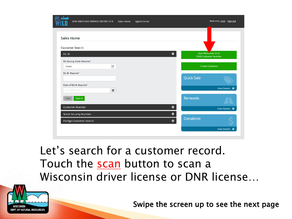| $q_0$ dat         | DNR GREEN BAY SERVICE CENTER 1310 | Sales Home | <b>Agent Corner</b> |           |                                                    | Welcome, User Sign out |
|-------------------|-----------------------------------|------------|---------------------|-----------|----------------------------------------------------|------------------------|
| <b>Sales Home</b> |                                   |            |                     |           |                                                    |                        |
|                   | <b>Customer Search</b>            |            |                     |           |                                                    |                        |
| DL ID             |                                   |            |                     | $\bullet$ | Scan Wisconsin ID or<br><b>DNR Customer Number</b> |                        |
|                   | <b>DL Issuing State Required</b>  |            |                     |           |                                                    |                        |
| Select            | $\checkmark$                      |            |                     |           | <b>Create Customer</b>                             |                        |
|                   | <b>DL ID Required</b>             |            |                     |           |                                                    |                        |
|                   |                                   |            |                     |           | <b>Quick Sale</b>                                  |                        |
|                   | Date of Birth Required            |            |                     |           |                                                    |                        |
|                   | 巤<br>ex. 01/01/2017               |            |                     |           |                                                    | View Details ©         |
| Clear             | Search                            |            |                     |           | Renewals                                           |                        |
|                   | <b>Customer Number</b>            |            |                     | $\bullet$ |                                                    |                        |
|                   |                                   |            |                     |           |                                                    | View Details ©         |
|                   | <b>Social Security Number</b>     |            |                     | $\bullet$ | <b>Donations</b>                                   |                        |
|                   | Foreign Customer Search           |            |                     | $\bullet$ |                                                    |                        |
|                   |                                   |            |                     |           |                                                    | View Details ©         |
|                   |                                   |            |                     |           |                                                    |                        |

# Let's search for a customer record. Touch the scan button to scan a Wisconsin driver license or DNR license…

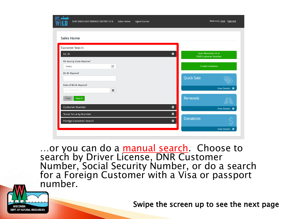| $q_0$ day<br>DNR GREEN BAY SERVICE CENTER 1310 | Sales Home   | <b>Agent Corner</b> |                                                                 | Welcome, User Sign out |
|------------------------------------------------|--------------|---------------------|-----------------------------------------------------------------|------------------------|
| <b>Sales Home</b>                              |              |                     |                                                                 |                        |
| <b>Customer Search</b>                         |              |                     |                                                                 |                        |
| DL ID                                          |              |                     | Scan Wisconsin ID or<br>$\bullet$<br><b>DNR Customer Number</b> |                        |
| <b>DL Issuing State Required</b>               |              |                     |                                                                 |                        |
| Select                                         | $\checkmark$ |                     | <b>Create Customer</b>                                          |                        |
| <b>DL ID Required</b>                          |              |                     |                                                                 |                        |
|                                                |              |                     | <b>Quick Sale</b>                                               |                        |
| Date of Birth Required                         |              |                     |                                                                 |                        |
| ex. 01/01/2017                                 | 巤            |                     |                                                                 | View Details ©         |
| Search<br>Clear                                |              |                     | Renewals                                                        |                        |
|                                                |              |                     |                                                                 |                        |
| <b>Customer Number</b>                         |              |                     | $\bullet$                                                       | View Details ©         |
| <b>Social Security Number</b>                  |              |                     | $\bullet$<br><b>Donations</b>                                   |                        |
| Foreign Customer Search                        |              |                     | $\bullet$                                                       |                        |
|                                                |              |                     |                                                                 | View Details ©         |

...or you can do a manual search. Choose to search by Driver License, DNR Customer Number, Social Security Number, or do a search for a Foreign Customer with a Visa or passport number.

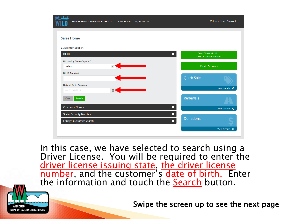| go don't                         | <b>DNR GREEN BAY SERVICE CENTER 1310</b> | Sales Home | <b>Agent Corner</b> |           |                                                    | Welcome, User Sign out |
|----------------------------------|------------------------------------------|------------|---------------------|-----------|----------------------------------------------------|------------------------|
| <b>Sales Home</b>                |                                          |            |                     |           |                                                    |                        |
| <b>Customer Search</b>           |                                          |            |                     |           |                                                    |                        |
| DL ID                            |                                          |            |                     | ۰         | Scan Wisconsin ID or<br><b>DNR Customer Number</b> |                        |
| <b>DL Issuing State Required</b> |                                          |            |                     |           |                                                    |                        |
| Select                           |                                          |            |                     |           | <b>Create Customer</b>                             |                        |
| <b>DL ID Required</b>            |                                          |            |                     |           | <b>Quick Sale</b>                                  |                        |
| Date of Birth Required           |                                          |            |                     |           |                                                    |                        |
| ex. 01/01/2017                   | 兽                                        |            |                     |           |                                                    | View Details ©         |
| Clear                            | Search                                   |            |                     |           | Renewals                                           |                        |
| <b>Customer Number</b>           |                                          |            |                     | $\bullet$ |                                                    | View Details ©         |
| Social Security Number           |                                          |            |                     | $\bullet$ |                                                    |                        |
|                                  | Foreign Customer Search                  |            |                     | $\bullet$ | <b>Donations</b>                                   |                        |
|                                  |                                          |            |                     |           |                                                    | View Details ©         |

In this case, we have selected to search using a Driver License. You will be required to enter the driver license issuing state, the driver license number, and the customer's date of birth. Enter the information and touch the Search button.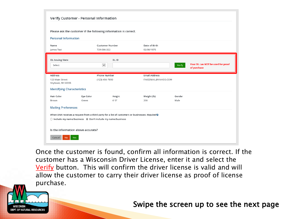|                                                                                       | Verify Customer - Personal Information                                        |                                                                                                  |                                             |                |                                                  |
|---------------------------------------------------------------------------------------|-------------------------------------------------------------------------------|--------------------------------------------------------------------------------------------------|---------------------------------------------|----------------|--------------------------------------------------|
|                                                                                       |                                                                               | Please ask the customer if the following information is correct.                                 |                                             |                |                                                  |
| <b>Personal Information</b>                                                           |                                                                               |                                                                                                  |                                             |                |                                                  |
| Name<br>James Test                                                                    |                                                                               | <b>Customer Number</b><br>729-086-322                                                            | Date of Birth<br>02/06/1975                 |                |                                                  |
| <b>DL Issuing State</b><br>Select                                                     |                                                                               | DL ID<br>$\checkmark$                                                                            |                                             | Verify         | Your DL can NOT be used for proof<br>of purchase |
| Address<br>123 Main Street<br>Anytown, WI 55555<br><b>Identifying Characteristics</b> |                                                                               | <b>Phone Number</b><br>(123) 456-7890                                                            | <b>Email Address</b><br>FAKEEMAIL@YAHOO.COM |                |                                                  |
| Hair Color<br>Brown                                                                   | Eye Color<br>Green                                                            | Height<br>6'0''                                                                                  | Weight (lb)<br>200                          | Gender<br>Male |                                                  |
| <b>Mailing Preferences</b>                                                            |                                                                               |                                                                                                  |                                             |                |                                                  |
|                                                                                       | $\bigcirc$ Include my name/business $\bigcirc$ Don't include my name/business | When DNR receives a request from a third party for a list of customers or businesses: Required O |                                             |                |                                                  |
|                                                                                       | Is the information above accurate?                                            |                                                                                                  |                                             |                |                                                  |
| Cancel<br><b>No</b>                                                                   | Yes                                                                           |                                                                                                  |                                             |                |                                                  |

Once the customer is found, confirm all information is correct. If the customer has a Wisconsin Driver License, enter it and select the Verify button. This will confirm the driver license is valid and will allow the customer to carry their driver license as proof of license purchase.

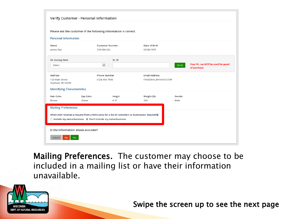|                                                                                       | Verify Customer - Personal Information                                        |                                                                                                        |                                             |                |                                                  |
|---------------------------------------------------------------------------------------|-------------------------------------------------------------------------------|--------------------------------------------------------------------------------------------------------|---------------------------------------------|----------------|--------------------------------------------------|
|                                                                                       |                                                                               | Please ask the customer if the following information is correct.                                       |                                             |                |                                                  |
| <b>Personal Information</b>                                                           |                                                                               |                                                                                                        |                                             |                |                                                  |
| Name<br>James Test                                                                    |                                                                               | <b>Customer Number</b><br>729-086-322                                                                  | Date of Birth<br>02/06/1975                 |                |                                                  |
| <b>DL Issuing State</b><br>Select                                                     |                                                                               | DL ID<br>$\check{ }$                                                                                   |                                             | Verify         | Your DL can NOT be used for proof<br>of purchase |
| Address<br>123 Main Street<br>Anytown, WI 55555<br><b>Identifying Characteristics</b> |                                                                               | <b>Phone Number</b><br>(123) 456-7890                                                                  | <b>Email Address</b><br>FAKEEMAIL@YAHOO.COM |                |                                                  |
| Hair Color<br>Brown<br><b>Mailing Preferences</b>                                     | Eye Color<br>Green                                                            | Height<br>6'0''                                                                                        | Weight (lb)<br>200                          | Gender<br>Male |                                                  |
|                                                                                       | $\bigcirc$ Include my name/business $\bigcirc$ Don't include my name/business | When DNR receives a request from a third party for a list of customers or businesses: Required $\odot$ |                                             |                |                                                  |
| Cancel<br><b>No</b>                                                                   | Is the information above accurate?<br>Yes:                                    |                                                                                                        |                                             |                |                                                  |

Mailing Preferences. The customer may choose to be included in a mailing list or have their information unavailable.

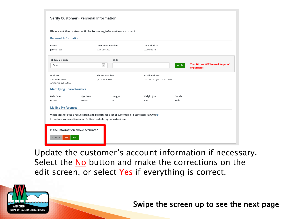|                                      | Verify Customer - Personal Information                                                                                                                                                  |                        |                      |        |                                                  |
|--------------------------------------|-----------------------------------------------------------------------------------------------------------------------------------------------------------------------------------------|------------------------|----------------------|--------|--------------------------------------------------|
|                                      | Please ask the customer if the following information is correct.                                                                                                                        |                        |                      |        |                                                  |
| <b>Personal Information</b>          |                                                                                                                                                                                         |                        |                      |        |                                                  |
| Name                                 |                                                                                                                                                                                         | <b>Customer Number</b> | Date of Birth        |        |                                                  |
| James Test                           |                                                                                                                                                                                         | 729-086-322            | 02/06/1975           |        |                                                  |
| <b>DL Issuing State</b>              |                                                                                                                                                                                         | DL ID                  |                      |        |                                                  |
| Select                               |                                                                                                                                                                                         | $\check{~}$            |                      | Verify | Your DL can NOT be used for proof<br>of purchase |
| Address                              |                                                                                                                                                                                         | <b>Phone Number</b>    | <b>Email Address</b> |        |                                                  |
| 123 Main Street<br>Anytown, WI 55555 |                                                                                                                                                                                         | (123) 456-7890         | FAKEEMAIL@YAHOO.COM  |        |                                                  |
| <b>Identifying Characteristics</b>   |                                                                                                                                                                                         |                        |                      |        |                                                  |
| Hair Color                           | Eye Color                                                                                                                                                                               | Height                 | Weight (lb)          | Gender |                                                  |
| Brown                                | Green                                                                                                                                                                                   | 6'0''                  | 200                  | Male   |                                                  |
| <b>Mailing Preferences</b>           |                                                                                                                                                                                         |                        |                      |        |                                                  |
|                                      | When DNR receives a request from a third party for a list of customers or businesses: Required $\odot$<br>$\bigcirc$ Include my name/business $\bigcirc$ Don't include my name/business |                        |                      |        |                                                  |
|                                      | Is the information above accurate?                                                                                                                                                      |                        |                      |        |                                                  |
| <b>No</b><br>Cancel                  | Yes                                                                                                                                                                                     |                        |                      |        |                                                  |

Update the customer's account information if necessary. Select the No button and make the corrections on the edit screen, or select Yes if everything is correct.

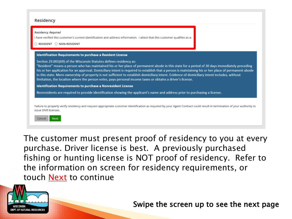#### Residency

|                                                                                                                                                                                  | <b>Identification Requirements to purchase a Resident License</b> |  |                                                                                                                                                                                                                                                                                                                                                                                                                                                       |
|----------------------------------------------------------------------------------------------------------------------------------------------------------------------------------|-------------------------------------------------------------------|--|-------------------------------------------------------------------------------------------------------------------------------------------------------------------------------------------------------------------------------------------------------------------------------------------------------------------------------------------------------------------------------------------------------------------------------------------------------|
| Section 29.001(69) of the Wisconsin Statutes defines residency as:<br>limitation, the location where the person votes, pays personal income taxes or obtains a driver's license. |                                                                   |  | "Resident" means a person who has maintained his or her place of permanent abode in this state for a period of 30 days immediately preceding<br>his or her application for an approval. Domiciliary intent is required to establish that a person is maintaining his or her place of permanent abode<br>in this state. Mere ownership of property is not sufficient to establish domiciliary intent. Evidence of domiciliary intent includes, without |
| Identification Requirements to purchase a Nonresident License                                                                                                                    |                                                                   |  |                                                                                                                                                                                                                                                                                                                                                                                                                                                       |
| Nonresidents are required to provide identification showing the applicant's name and address prior to purchasing a license.                                                      |                                                                   |  |                                                                                                                                                                                                                                                                                                                                                                                                                                                       |

The customer must present proof of residency to you at every purchase. Driver license is best. A previously purchased fishing or hunting license is NOT proof of residency. Refer to the information on screen for residency requirements, or touch **Next** to continue

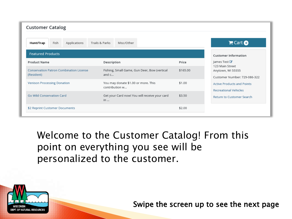| <b>Customer Catalog</b>                                      |                                                       |                                                  |                                   |
|--------------------------------------------------------------|-------------------------------------------------------|--------------------------------------------------|-----------------------------------|
| Fish<br>Hunt/Trap<br>Applications                            | Trails & Parks<br>Misc/Other                          |                                                  | $Cart$ O                          |
| <b>Featured Products</b>                                     |                                                       | <b>Customer Information</b>                      |                                   |
| <b>Product Name</b>                                          | Description                                           | Price                                            | James Test <i>■</i>               |
| <b>Conservation Patron Combination License</b><br>(Resident) | Fishing, Small Game, Gun Deer, Bow (vertical<br>and c | 123 Main Street<br>\$165.00<br>Anytown, WI 55555 | Customer Number: 729-086-322      |
| <b>Venison Processing Donation</b>                           | You may donate \$1.00 or more. This<br>contribution w | \$1.00<br><b>Recreational Vehicles</b>           | <b>Active Products and Points</b> |
| Go Wild Conservation Card                                    | Get your Card now! You will receive your card<br>in   | \$3.50                                           | <b>Return to Customer Search</b>  |
| \$2 Reprint Customer Documents                               |                                                       | \$2.00                                           |                                   |

Welcome to the Customer Catalog! From this point on everything you see will be personalized to the customer.

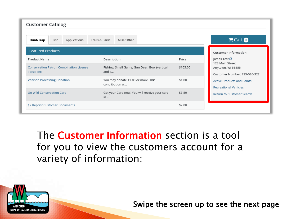| <b>Customer Catalog</b>                                      |                                                       |          |                                                                      |
|--------------------------------------------------------------|-------------------------------------------------------|----------|----------------------------------------------------------------------|
| Fish<br>Applications<br>Hunt/Trap                            | Trails & Parks<br>Misc/Other                          |          | $Cart$ O                                                             |
| <b>Featured Products</b>                                     |                                                       |          | <b>Customer Information</b>                                          |
| <b>Product Name</b>                                          | Description                                           | Price    | James Test ■                                                         |
| <b>Conservation Patron Combination License</b><br>(Resident) | Fishing, Small Game, Gun Deer, Bow (vertical<br>and c | \$165.00 | 123 Main Street<br>Anytown, WI 55555<br>Customer Number: 729-086-322 |
| <b>Venison Processing Donation</b>                           | You may donate \$1.00 or more. This<br>contribution w | \$1.00   | <b>Active Products and Points</b><br><b>Recreational Vehicles</b>    |
| Go Wild Conservation Card                                    | Get your Card now! You will receive your card<br>in   | \$3.50   | <b>Return to Customer Search</b>                                     |
| \$2 Reprint Customer Documents                               |                                                       | \$2.00   |                                                                      |

The **Customer Information** section is a tool for you to view the customers account for a variety of information:

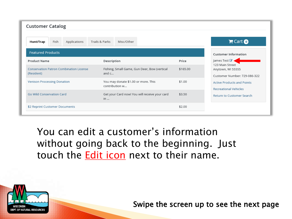| <b>Customer Catalog</b>                                      |                                                       |          |                                                                      |
|--------------------------------------------------------------|-------------------------------------------------------|----------|----------------------------------------------------------------------|
| Fish<br>Applications<br>Hunt/Trap                            | Trails & Parks<br>Misc/Other                          |          | Cart                                                                 |
| <b>Featured Products</b>                                     |                                                       |          | <b>Customer Information</b>                                          |
| <b>Product Name</b>                                          | Description                                           | Price    | James Test                                                           |
| <b>Conservation Patron Combination License</b><br>(Resident) | Fishing, Small Game, Gun Deer, Bow (vertical<br>and c | \$165.00 | 123 Main Street<br>Anytown, WI 55555<br>Customer Number: 729-086-322 |
| <b>Venison Processing Donation</b>                           | You may donate \$1.00 or more. This<br>contribution w | \$1.00   | <b>Active Products and Points</b><br><b>Recreational Vehicles</b>    |
| Go Wild Conservation Card                                    | Get your Card now! You will receive your card<br>in   | \$3.50   | <b>Return to Customer Search</b>                                     |
| \$2 Reprint Customer Documents                               |                                                       | \$2.00   |                                                                      |

You can edit a customer's information without going back to the beginning. Just touch the Edit icon next to their name.

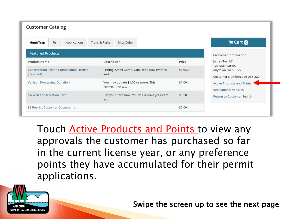| <b>Customer Catalog</b>                                      |                                                       |          |                                                                      |  |
|--------------------------------------------------------------|-------------------------------------------------------|----------|----------------------------------------------------------------------|--|
| Fish<br>Applications<br>Hunt/Trap                            | Misc/Other<br>Trails & Parks                          |          | Cart                                                                 |  |
| <b>Featured Products</b>                                     |                                                       |          | <b>Customer Information</b>                                          |  |
| <b>Product Name</b>                                          | Description                                           | Price    | James Test ■                                                         |  |
| <b>Conservation Patron Combination License</b><br>(Resident) | Fishing, Small Game, Gun Deer, Bow (vertical<br>and c | \$165.00 | 123 Main Street<br>Anytown, WI 55555<br>Customer Number: 729-086-322 |  |
| <b>Venison Processing Donation</b>                           | You may donate \$1.00 or more. This<br>contribution w | \$1.00   | <b>Active Products and Points</b><br><b>Recreational Vehicles</b>    |  |
| Go Wild Conservation Card                                    | Get your Card now! You will receive your card<br>in   | \$3.50   | Return to Customer Search                                            |  |
| \$2 Reprint Customer Documents                               |                                                       | \$2.00   |                                                                      |  |

Touch **Active Products and Points** to view any approvals the customer has purchased so far in the current license year, or any preference points they have accumulated for their permit applications.

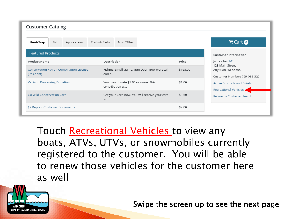| <b>Customer Catalog</b>                                      |                                                       |          |                                                                      |
|--------------------------------------------------------------|-------------------------------------------------------|----------|----------------------------------------------------------------------|
| Fish<br>Applications<br>Hunt/Trap                            | Trails & Parks<br>Misc/Other                          |          | Cart                                                                 |
| <b>Featured Products</b>                                     |                                                       |          | <b>Customer Information</b>                                          |
| <b>Product Name</b>                                          | Description                                           | Price    | ames Test ■                                                          |
| <b>Conservation Patron Combination License</b><br>(Resident) | Fishing, Small Game, Gun Deer, Bow (vertical<br>and c | \$165.00 | 123 Main Street<br>Anytown, WI 55555<br>Customer Number: 729-086-322 |
| <b>Venison Processing Donation</b>                           | You may donate \$1.00 or more. This<br>contribution w | \$1.00   | <b>Active Products and Points</b><br>Recreational Vehicles           |
| Go Wild Conservation Card                                    | Get your Card now! You will receive your card<br>in   | \$3.50   | <b>Return to Customer Search</b>                                     |
| \$2 Reprint Customer Documents                               |                                                       | \$2.00   |                                                                      |

Touch Recreational Vehicles to view any boats, ATVs, UTVs, or snowmobiles currently registered to the customer. You will be able to renew those vehicles for the customer here as well

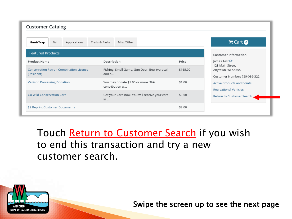| <b>Customer Catalog</b>                                      |                                                         |          |                                                                      |
|--------------------------------------------------------------|---------------------------------------------------------|----------|----------------------------------------------------------------------|
| Fish<br>Applications<br>Hunt/Trap                            | Trails & Parks<br>Misc/Other                            |          | Cart                                                                 |
| <b>Featured Products</b>                                     |                                                         |          | <b>Customer Information</b>                                          |
| <b>Product Name</b>                                          | Description                                             | Price    | ames Test ■                                                          |
| <b>Conservation Patron Combination License</b><br>(Resident) | Fishing, Small Game, Gun Deer, Bow (vertical<br>and $c$ | \$165.00 | 123 Main Street<br>Anytown, WI 55555<br>Customer Number: 729-086-322 |
| <b>Venison Processing Donation</b>                           | You may donate \$1.00 or more. This<br>contribution w   | \$1.00   | <b>Active Products and Points</b><br><b>Recreational Vehicles</b>    |
| Go Wild Conservation Card                                    | Get your Card now! You will receive your card<br>in     | \$3.50   | Return to Customer Search                                            |
| \$2 Reprint Customer Documents                               |                                                         | \$2.00   |                                                                      |

Touch Return to Customer Search if you wish to end this transaction and try a new customer search.

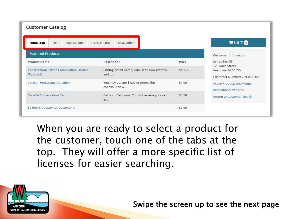| <b>Customer Catalog</b>                                      |              |                |                                                       |  |          |                                                                      |  |
|--------------------------------------------------------------|--------------|----------------|-------------------------------------------------------|--|----------|----------------------------------------------------------------------|--|
| Hunt/Trap<br>Fish                                            | Applications | Trails & Parks | Misc/Other                                            |  |          | Cart                                                                 |  |
| <b>Featured Products</b>                                     |              |                |                                                       |  |          | <b>Customer Information</b>                                          |  |
| <b>Product Name</b>                                          |              | Description    |                                                       |  | Price    | James Test <i>■</i>                                                  |  |
| <b>Conservation Patron Combination License</b><br>(Resident) |              |                | Fishing, Small Game, Gun Deer, Bow (vertical<br>and c |  | \$165.00 | 123 Main Street<br>Anytown, WI 55555<br>Customer Number: 729-086-322 |  |
| <b>Venison Processing Donation</b>                           |              |                | You may donate \$1.00 or more. This<br>contribution w |  | \$1.00   | <b>Active Products and Points</b><br><b>Recreational Vehicles</b>    |  |
| Go Wild Conservation Card                                    |              | in             | Get your Card now! You will receive your card         |  | \$3.50   | <b>Return to Customer Search</b>                                     |  |
| \$2 Reprint Customer Documents                               |              |                |                                                       |  | \$2.00   |                                                                      |  |

When you are ready to select a product for the customer, touch one of the tabs at the top. They will offer a more specific list of licenses for easier searching.

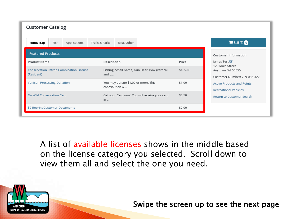| <b>Customer Catalog</b>                                      |                                                       |                                                                                  |  |
|--------------------------------------------------------------|-------------------------------------------------------|----------------------------------------------------------------------------------|--|
| Fish<br>Applications<br>Hunt/Trap                            | Trails & Parks<br>Misc/Other                          | Cart                                                                             |  |
| <b>Featured Products</b>                                     |                                                       | <b>Customer Information</b>                                                      |  |
| <b>Product Name</b>                                          | Description                                           | James Test ■<br>Price                                                            |  |
| <b>Conservation Patron Combination License</b><br>(Resident) | Fishing, Small Game, Gun Deer, Bow (vertical<br>and c | 123 Main Street<br>\$165.00<br>Anytown, WI 55555<br>Customer Number: 729-086-322 |  |
| <b>Venison Processing Donation</b>                           | You may donate \$1.00 or more. This<br>contribution w | \$1.00<br><b>Active Products and Points</b><br><b>Recreational Vehicles</b>      |  |
| <b>Go Wild Conservation Card</b>                             | Get your Card now! You will receive your card<br>in   | \$3.50<br><b>Return to Customer Search</b>                                       |  |
| \$2 Reprint Customer Documents                               |                                                       | \$2.00                                                                           |  |

A list of **available licenses** shows in the middle based on the license category you selected. Scroll down to view them all and select the one you need.

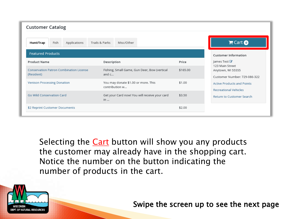| <b>Customer Catalog</b>                                      |                                                         |          |                                                                      |
|--------------------------------------------------------------|---------------------------------------------------------|----------|----------------------------------------------------------------------|
| Fish<br>Applications<br>Hunt/Trap                            | Trails & Parks<br>Misc/Other                            |          | Cart                                                                 |
| <b>Featured Products</b>                                     |                                                         |          | <b>Customer Information</b>                                          |
| <b>Product Name</b>                                          | Description                                             | Price    | James Test ■                                                         |
| <b>Conservation Patron Combination License</b><br>(Resident) | Fishing, Small Game, Gun Deer, Bow (vertical<br>and $c$ | \$165.00 | 123 Main Street<br>Anytown, WI 55555<br>Customer Number: 729-086-322 |
| <b>Venison Processing Donation</b>                           | You may donate \$1.00 or more. This<br>contribution w   | \$1.00   | <b>Active Products and Points</b><br><b>Recreational Vehicles</b>    |
| Go Wild Conservation Card                                    | Get your Card now! You will receive your card<br>in     | \$3.50   | <b>Return to Customer Search</b>                                     |
| \$2 Reprint Customer Documents                               |                                                         | \$2.00   |                                                                      |

Selecting the **Cart** button will show you any products the customer may already have in the shopping cart. Notice the number on the button indicating the number of products in the cart.

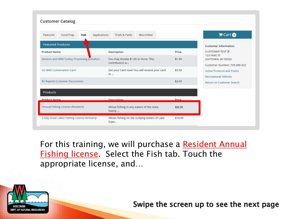| <b>Customer Catalog</b>                       |                                                       |         |                                                                   |
|-----------------------------------------------|-------------------------------------------------------|---------|-------------------------------------------------------------------|
| Hunt/Trap<br>Fish<br>Applications<br>Featured | Trails & Parks<br>Misc/Other                          |         | $F$ Cart $\odot$                                                  |
| <b>Featured Products</b>                      |                                                       |         | <b>Customer Information</b>                                       |
| <b>Product Name</b>                           | Description                                           | Price   | <b>CUSTOMER TEST</b><br>123 FAKE ST                               |
| Venison and Wild Turkey Processing Donation   | You may donate \$1.00 or more. This<br>contribution w | \$1.00  | ANYTOWN, WI 55555<br>Customer Number: 729-086-322                 |
| <b>Go Wild Conservation Card</b>              | Get your Card now! You will receive your card<br>in   | \$3.50  | <b>Active Products and Points</b><br><b>Recreational Vehicles</b> |
| \$2 Reprint Customer Documents                |                                                       | \$2.00  | <b>Return to Customer Search</b>                                  |
| Products                                      |                                                       |         |                                                                   |
| <b>Product Name</b>                           | Description                                           | Price   |                                                                   |
| Annual Fishing License (Resident)             | Allows fishing in any waters of the state.<br>Stamp   | \$20.00 |                                                                   |
| 2-Day Great Lakes Fishing License W/Stamp     | Allows fishing on the outlying waters of Lake<br>Supe | \$14.00 |                                                                   |

For this training, we will purchase a Resident Annual Fishing license Select the Fish tab. Touch the appropriate license, and…

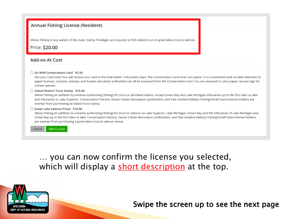#### Annual Fishing License (Resident)

Allows fishing in any waters of the state. Stamp Privileges are required to fish inland trout or great lakes trout & salmon.

Price: \$20.00

#### Add-on At Cost

#### □ Go Wild Conservation Card \$3.50

Get your Card now! You will receive your card in the mail within 14 business days. The Conservation Card does not expire. It is a convenient and durable alternate to paper licenses. Licenses, stamps, and hunter education authorities can all be accessed from the Conservation Card. You are required to carry paper carcass tags for certain species.

#### □ Inland Waters Trout Stamp \$10.00

Allows fishing (in addition to a license authorizing fishing) for trout on all inland waters, except Green Bay and Lake Michigan tributaries up to the first dam or lake and tributaries to Lake Superior. Conservation Patrons, Senior Citizen Recreation cardholders, and free resident Military Fishing/Small Game license holders are exempt from purchasing an inland trout stamp.

#### □ Great Lake Salmon/Trout \$10.00

Allows fishing (in addition to a license authorizing fishing) for trout or salmon on Lake Superior, Lake Michigan, Green Bay and the tributaries of Lake Michigan and Green Bay up to the first dam or lake. Conservation Patrons, Senior Citizen Recreation cardholders, and free resident Military Fishing/Small Game license holders are exempt from purchasing a great lakes trout & salmon stamp.

Add To Cart Cancel

> … you can now confirm the license you selected, which will display a short description at the top.

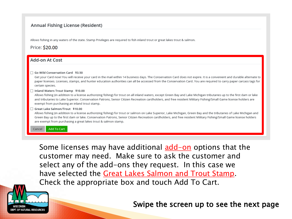#### Annual Fishing License (Resident)

Allows fishing in any waters of the state. Stamp Privileges are required to fish inland trout or great lakes trout & salmon.

Price: \$20.00

#### Add-on At Cost

#### Go Wild Conservation Card \$3.50

Get your Card now! You will receive your card in the mail within 14 business days. The Conservation Card does not expire. It is a convenient and durable alternate to paper licenses. Licenses, stamps, and hunter education authorities can all be accessed from the Conservation Card. You are required to carry paper carcass tags for certain species.

#### □ Inland Waters Trout Stamp \$10.00

Allows fishing (in addition to a license authorizing fishing) for trout on all inland waters, except Green Bay and Lake Michigan tributaries up to the first dam or lake and tributaries to Lake Superior. Conservation Patrons, Senior Citizen Recreation cardholders, and free resident Military Fishing/Small Game license holders are exempt from purchasing an inland trout stamp.

#### Great Lake Salmon/Trout \$10.00

Allows fishing (in addition to a license authorizing fishing) for trout or salmon on Lake Superior, Lake Michigan, Green Bay and the tributaries of Lake Michigan and Green Bay up to the first dam or lake. Conservation Patrons, Senior Citizen Recreation cardholders, and free resident Military Fishing/Small Game license holders are exempt from purchasing a great lakes trout & salmon stamp.

Add To Cart Cancel

> Some licenses may have additional **add-on** options that the customer may need. Make sure to ask the customer and select any of the add-ons they request. In this case we have selected the Great Lakes Salmon and Trout Stamp. Check the appropriate box and touch Add To Cart.

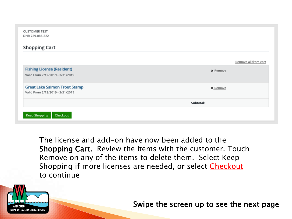| <b>CUSTOMER TEST</b><br>DNR 729-086-322                                  |                      |
|--------------------------------------------------------------------------|----------------------|
| <b>Shopping Cart</b>                                                     |                      |
|                                                                          | Remove all from cart |
| <b>Fishing License (Resident)</b><br>Valid From 2/12/2019 - 3/31/2019    | <b>x</b> Remove      |
| <b>Great Lake Salmon Trout Stamp</b><br>Valid From 2/12/2019 - 3/31/2019 | <b>x</b> Remove      |
|                                                                          | Subtotal:            |
| <b>Keep Shopping</b><br>Checkout                                         |                      |

The license and add-on have now been added to the Shopping Cart. Review the items with the customer. Touch Remove on any of the items to delete them. Select Keep Shopping if more licenses are needed, or select Checkout to continue

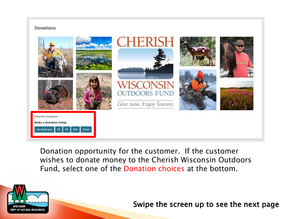#### **Donations**



Donation opportunity for the customer. If the customer wishes to donate money to the Cherish Wisconsin Outdoors Fund, select one of the Donation choices at the bottom.

ATURAL RESOURC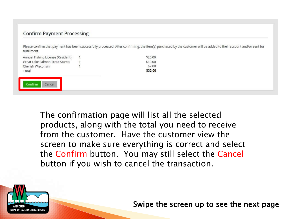#### **Confirm Payment Processing**

Please confirm that payment has been successfully processed. After confirming, the item(s) purchased by the customer will be added to their account and/or sent for fulfillment.

| Total                             | \$32.00 |
|-----------------------------------|---------|
| Cherish Wisconsin                 | \$2.00  |
| Great Lake Salmon Trout Stamp     | \$10.00 |
| Annual Fishing License (Resident) | \$20.00 |

The confirmation page will list all the selected products, along with the total you need to receive from the customer. Have the customer view the screen to make sure everything is correct and select the **Confirm** button. You may still select the **Cancel** button if you wish to cancel the transaction.

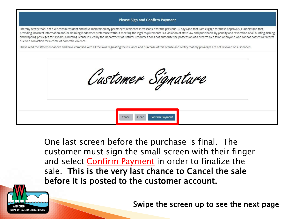#### **Please Sign and Confirm Payment**

I hereby certify that I am a Wisconsin resident and have maintained my permanent residence in Wisconsin for the previous 30 days and that I am eligible for these approvals. I understand that providing incorrect information and/or claiming landowner preference without meeting the legal requirements is a violation of state law and punishable by penalty and revocation of all hunting, fishing and trapping privileges for 3 years. A hunting license issued by the Department of Natural Resources does not authorize the possession of a firearm by a felon or anyone who cannot possess a firearm due to a conviction for a crime of domestic violence.

I have read the statement above and have complied with all the laws regulating the issuance and purchase of this license and certify that my privileges are not revoked or suspended.



One last screen before the purchase is final. The customer must sign the small screen with their finger and select **Confirm Payment** in order to finalize the sale. This is the very last chance to Cancel the sale before it is posted to the customer account.

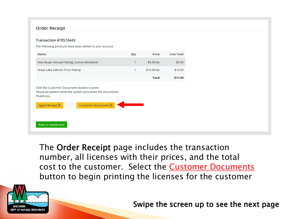#### **Order Receipt**

#### Transaction #70510443

The following products have been added to your account. Name Qty Price **Line Total** New Buyer Annual Fishing License (Resident)  $\overline{1}$ \$5.00/ea \$5.00 \$10.00/ea Great Lake Salmon Trout Stamp  $\mathbf{1}$ \$10.00 **Total** \$15.00 Click the Customer Documents button to print. Please be patient while the system processes the documents. Thank you.

| Agent Receipt D          | Customer Documents A |
|--------------------------|----------------------|
|                          |                      |
|                          |                      |
| <b>Back to Dashboard</b> |                      |

The Order Receipt page includes the transaction number, all licenses with their prices, and the total cost to the customer. Select the Customer Documents button to begin printing the licenses for the customer